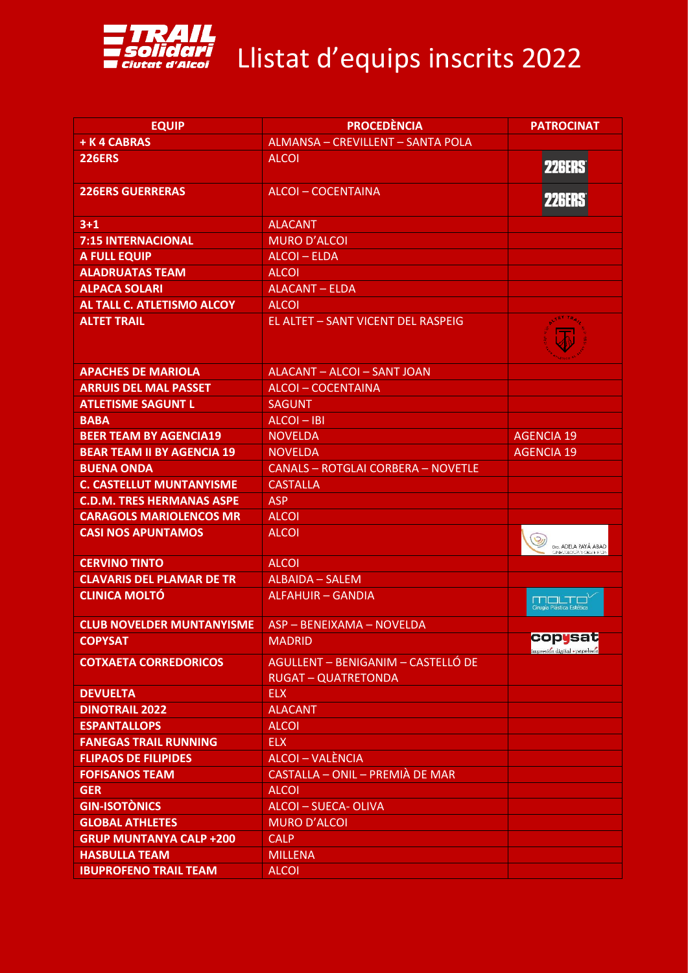

## Solidari<br>Ciutat d'Alcoi Llistat d'equips inscrits 2022

| <b>EQUIP</b>                      | <b>PROCEDÈNCIA</b>                                               | <b>PATROCINAT</b>                                             |
|-----------------------------------|------------------------------------------------------------------|---------------------------------------------------------------|
| + K 4 CABRAS                      | ALMANSA - CREVILLENT - SANTA POLA                                |                                                               |
| <b>226ERS</b>                     | <b>ALCOI</b>                                                     | <b>226ERS</b>                                                 |
| <b>226ERS GUERRERAS</b>           | <b>ALCOI-COCENTAINA</b>                                          | <b>226ERS</b>                                                 |
| $3+1$                             | <b>ALACANT</b>                                                   |                                                               |
| <b>7:15 INTERNACIONAL</b>         | <b>MURO D'ALCOI</b>                                              |                                                               |
| <b>A FULL EQUIP</b>               | <b>ALCOI-ELDA</b>                                                |                                                               |
| <b>ALADRUATAS TEAM</b>            | <b>ALCOI</b>                                                     |                                                               |
| <b>ALPACA SOLARI</b>              | <b>ALACANT - ELDA</b>                                            |                                                               |
| AL TALL C. ATLETISMO ALCOY        | <b>ALCOL</b>                                                     |                                                               |
| <b>ALTET TRAIL</b>                | EL ALTET - SANT VICENT DEL RASPEIG                               |                                                               |
| <b>APACHES DE MARIOLA</b>         | ALACANT - ALCOI - SANT JOAN                                      |                                                               |
| <b>ARRUIS DEL MAL PASSET</b>      | <b>ALCOI-COCENTAINA</b>                                          |                                                               |
| <b>ATLETISME SAGUNT L</b>         | <b>SAGUNT</b>                                                    |                                                               |
| <b>BABA</b>                       | $ALCOI - IBI$                                                    |                                                               |
| <b>BEER TEAM BY AGENCIA19</b>     | <b>NOVELDA</b>                                                   | <b>AGENCIA 19</b>                                             |
| <b>BEAR TEAM II BY AGENCIA 19</b> | <b>NOVELDA</b>                                                   | <b>AGENCIA 19</b>                                             |
| <b>BUENA ONDA</b>                 | <b>CANALS - ROTGLAI CORBERA - NOVETLE</b>                        |                                                               |
| <b>C. CASTELLUT MUNTANYISME</b>   | <b>CASTALLA</b>                                                  |                                                               |
| <b>C.D.M. TRES HERMANAS ASPE</b>  | <b>ASP</b>                                                       |                                                               |
| <b>CARAGOLS MARIOLENCOS MR</b>    | <b>ALCOI</b>                                                     |                                                               |
| <b>CASI NOS APUNTAMOS</b>         | <b>ALCOI</b>                                                     | $\circ$<br>Dro. ADELA PAYÁ ABAD<br><b>INFORMANZIA RESERVE</b> |
| <b>CERVINO TINTO</b>              | <b>ALCOI</b>                                                     |                                                               |
| <b>CLAVARIS DEL PLAMAR DE TR</b>  | <b>ALBAIDA - SALEM</b>                                           |                                                               |
| <b>CLINICA MOLTO</b>              | ALFAHUIR - GANDIA                                                | Cirugía Plástica Estética                                     |
| <b>CLUB NOVELDER MUNTANYISME</b>  | ASP - BENEIXAMA - NOVELDA                                        |                                                               |
| <b>COPYSAT</b>                    | <b>MADRID</b>                                                    | copysat<br>impresión digital • papelería                      |
| <b>COTXAETA CORREDORICOS</b>      | AGULLENT - BENIGANIM - CASTELLÓ DE<br><b>RUGAT - QUATRETONDA</b> |                                                               |
| <b>DEVUELTA</b>                   | <b>ELX</b>                                                       |                                                               |
| <b>DINOTRAIL 2022</b>             | <b>ALACANT</b>                                                   |                                                               |
| <b>ESPANTALLOPS</b>               | <b>ALCOI</b>                                                     |                                                               |
| <b>FANEGAS TRAIL RUNNING</b>      | <b>ELX</b>                                                       |                                                               |
| <b>FLIPAOS DE FILIPIDES</b>       | ALCOI - VALÈNCIA                                                 |                                                               |
| <b>FOFISANOS TEAM</b>             | CASTALLA - ONIL - PREMIÀ DE MAR                                  |                                                               |
| <b>GER</b>                        | <b>ALCOI</b>                                                     |                                                               |
| <b>GIN-ISOTÒNICS</b>              | ALCOI - SUECA- OLIVA                                             |                                                               |
| <b>GLOBAL ATHLETES</b>            | <b>MURO D'ALCOI</b>                                              |                                                               |
| <b>GRUP MUNTANYA CALP +200</b>    | <b>CALP</b>                                                      |                                                               |
| <b>HASBULLA TEAM</b>              | <b>MILLENA</b>                                                   |                                                               |
| <b>IBUPROFENO TRAIL TEAM</b>      | <b>ALCOI</b>                                                     |                                                               |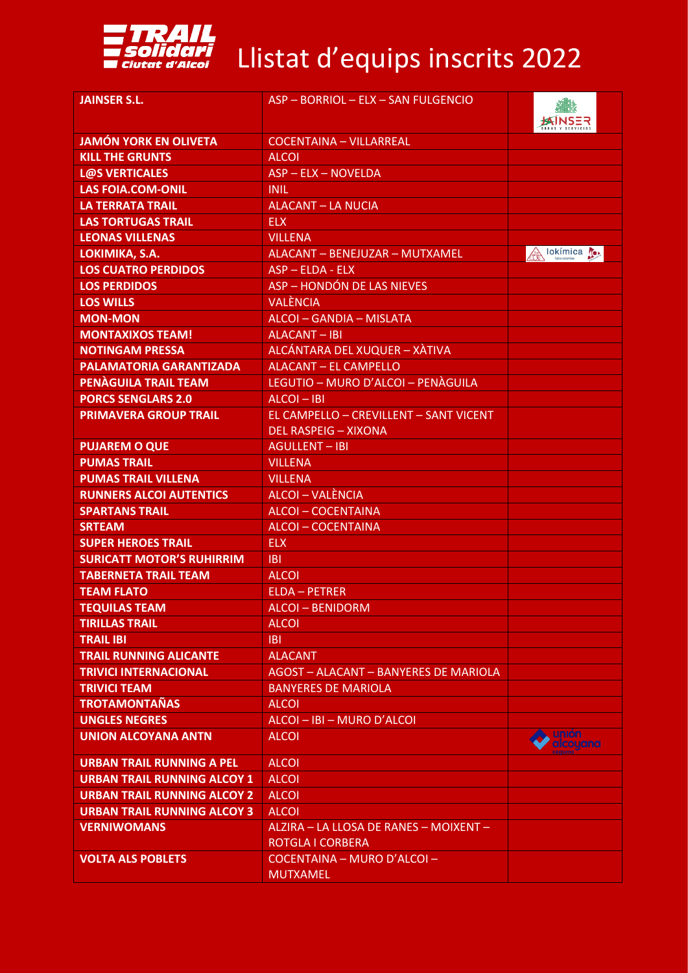

## Esclidari<br>
Ciutat d'Alcoi Llistat d'equips inscrits 2022

| <b>JAINSER S.L.</b>                | ASP - BORRIOL - ELX - SAN FULGENCIO    |                     |
|------------------------------------|----------------------------------------|---------------------|
| <b>JAMÓN YORK EN OLIVETA</b>       | <b>COCENTAINA - VILLARREAL</b>         |                     |
| <b>KILL THE GRUNTS</b>             | <b>ALCOI</b>                           |                     |
| <b>L@S VERTICALES</b>              | ASP - ELX - NOVELDA                    |                     |
| <b>LAS FOIA.COM-ONIL</b>           | <b>INIL</b>                            |                     |
| <b>LA TERRATA TRAIL</b>            | <b>ALACANT - LA NUCIA</b>              |                     |
| <b>LAS TORTUGAS TRAIL</b>          | <b>ELX</b>                             |                     |
| <b>LEONAS VILLENAS</b>             | <b>VILLENA</b>                         |                     |
| LOKIMIKA, S.A.                     | ALACANT - BENEJUZAR - MUTXAMEL         | lokímica <b>(e)</b> |
| <b>LOS CUATRO PERDIDOS</b>         | $ASP - ELDA - ELX$                     |                     |
| <b>LOS PERDIDOS</b>                | ASP - HONDÓN DE LAS NIEVES             |                     |
| <b>LOS WILLS</b>                   | <b>VALÈNCIA</b>                        |                     |
| <b>MON-MON</b>                     | ALCOI - GANDIA - MISLATA               |                     |
| <b>MONTAXIXOS TEAM!</b>            | ALACANT-IBI                            |                     |
| <b>NOTINGAM PRESSA</b>             | ALCÁNTARA DEL XUQUER - XÀTIVA          |                     |
| <b>PALAMATORIA GARANTIZADA</b>     | <b>ALACANT - EL CAMPELLO</b>           |                     |
| PENAGUILA TRAIL TEAM               | LEGUTIO - MURO D'ALCOI - PENÀGUILA     |                     |
| <b>PORCS SENGLARS 2.0</b>          | $ALCOI - IBI$                          |                     |
| <b>PRIMAVERA GROUP TRAIL</b>       | EL CAMPELLO - CREVILLENT - SANT VICENT |                     |
|                                    | <b>DEL RASPEIG - XIXONA</b>            |                     |
| <b>PUJAREM O QUE</b>               | <b>AGULLENT-IBI</b>                    |                     |
| <b>PUMAS TRAIL</b>                 | <b>VILLENA</b>                         |                     |
| <b>PUMAS TRAIL VILLENA</b>         | <b>VILLENA</b>                         |                     |
| <b>RUNNERS ALCOI AUTENTICS</b>     | ALCOI - VALÈNCIA                       |                     |
| <b>SPARTANS TRAIL</b>              | <b>ALCOI-COCENTAINA</b>                |                     |
| <b>SRTEAM</b>                      | <b>ALCOI-COCENTAINA</b>                |                     |
| <b>SUPER HEROES TRAIL</b>          | <b>ELX</b>                             |                     |
| <b>SURICATT MOTOR'S RUHIRRIM</b>   | <b>IBI</b>                             |                     |
| <b>TABERNETA TRAIL TEAM</b>        | <b>ALCOI</b>                           |                     |
| <b>TEAM FLATO</b>                  | <b>ELDA - PETRER</b>                   |                     |
| <b>TEQUILAS TEAM</b>               | ALCOI-BENIDORM                         |                     |
| <b>TIRILLAS TRAIL</b>              | <b>ALCOI</b>                           |                     |
| <b>TRAIL IBI</b>                   | <b>IBI</b>                             |                     |
| <b>TRAIL RUNNING ALICANTE</b>      | <b>ALACANT</b>                         |                     |
| <b>TRIVICI INTERNACIONAL</b>       | AGOST - ALACANT - BANYERES DE MARIOLA  |                     |
| <b>TRIVICI TEAM</b>                | <b>BANYERES DE MARIOLA</b>             |                     |
| <b>TROTAMONTAÑAS</b>               | <b>ALCOI</b>                           |                     |
| <b>UNGLES NEGRES</b>               | ALCOI - IBI - MURO D'ALCOI             |                     |
| <b>UNION ALCOYANA ANTN</b>         | <b>ALCOI</b>                           | unión               |
|                                    |                                        | <b>alcoyana</b>     |
| <b>URBAN TRAIL RUNNING A PEL</b>   | <b>ALCOI</b>                           |                     |
| <b>URBAN TRAIL RUNNING ALCOY 1</b> | <b>ALCOI</b>                           |                     |
| <b>URBAN TRAIL RUNNING ALCOY 2</b> | <b>ALCOI</b>                           |                     |
| <b>URBAN TRAIL RUNNING ALCOY 3</b> | <b>ALCOI</b>                           |                     |
| <b>VERNIWOMANS</b>                 | ALZIRA - LA LLOSA DE RANES - MOIXENT - |                     |
|                                    | <b>ROTGLA I CORBERA</b>                |                     |
| <b>VOLTA ALS POBLETS</b>           | COCENTAINA - MURO D'ALCOI -            |                     |
|                                    | <b>MUTXAMEL</b>                        |                     |